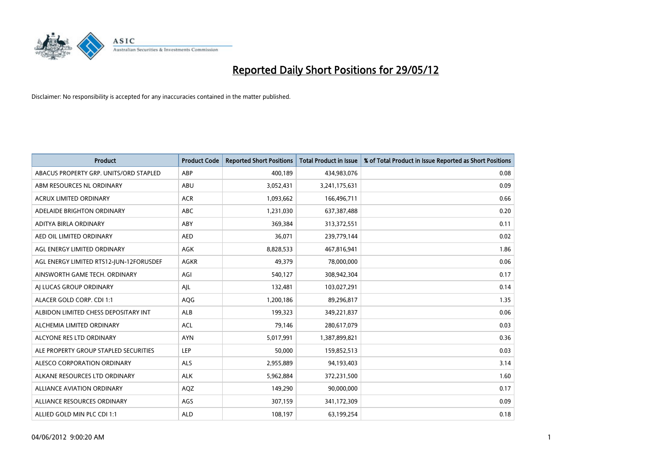

| <b>Product</b>                          | <b>Product Code</b> | <b>Reported Short Positions</b> | <b>Total Product in Issue</b> | % of Total Product in Issue Reported as Short Positions |
|-----------------------------------------|---------------------|---------------------------------|-------------------------------|---------------------------------------------------------|
| ABACUS PROPERTY GRP. UNITS/ORD STAPLED  | ABP                 | 400,189                         | 434,983,076                   | 0.08                                                    |
| ABM RESOURCES NL ORDINARY               | ABU                 | 3,052,431                       | 3,241,175,631                 | 0.09                                                    |
| <b>ACRUX LIMITED ORDINARY</b>           | <b>ACR</b>          | 1,093,662                       | 166,496,711                   | 0.66                                                    |
| ADELAIDE BRIGHTON ORDINARY              | <b>ABC</b>          | 1,231,030                       | 637,387,488                   | 0.20                                                    |
| ADITYA BIRLA ORDINARY                   | ABY                 | 369,384                         | 313,372,551                   | 0.11                                                    |
| AED OIL LIMITED ORDINARY                | <b>AED</b>          | 36,071                          | 239,779,144                   | 0.02                                                    |
| AGL ENERGY LIMITED ORDINARY             | AGK                 | 8,828,533                       | 467,816,941                   | 1.86                                                    |
| AGL ENERGY LIMITED RTS12-JUN-12FORUSDEF | <b>AGKR</b>         | 49,379                          | 78,000,000                    | 0.06                                                    |
| AINSWORTH GAME TECH. ORDINARY           | AGI                 | 540,127                         | 308,942,304                   | 0.17                                                    |
| AI LUCAS GROUP ORDINARY                 | AJL                 | 132,481                         | 103,027,291                   | 0.14                                                    |
| ALACER GOLD CORP. CDI 1:1               | AQG                 | 1,200,186                       | 89,296,817                    | 1.35                                                    |
| ALBIDON LIMITED CHESS DEPOSITARY INT    | ALB                 | 199,323                         | 349,221,837                   | 0.06                                                    |
| ALCHEMIA LIMITED ORDINARY               | <b>ACL</b>          | 79,146                          | 280,617,079                   | 0.03                                                    |
| ALCYONE RES LTD ORDINARY                | <b>AYN</b>          | 5,017,991                       | 1,387,899,821                 | 0.36                                                    |
| ALE PROPERTY GROUP STAPLED SECURITIES   | <b>LEP</b>          | 50,000                          | 159,852,513                   | 0.03                                                    |
| ALESCO CORPORATION ORDINARY             | ALS                 | 2,955,889                       | 94,193,403                    | 3.14                                                    |
| ALKANE RESOURCES LTD ORDINARY           | <b>ALK</b>          | 5,962,884                       | 372,231,500                   | 1.60                                                    |
| ALLIANCE AVIATION ORDINARY              | AQZ                 | 149,290                         | 90,000,000                    | 0.17                                                    |
| ALLIANCE RESOURCES ORDINARY             | AGS                 | 307,159                         | 341,172,309                   | 0.09                                                    |
| ALLIED GOLD MIN PLC CDI 1:1             | <b>ALD</b>          | 108,197                         | 63,199,254                    | 0.18                                                    |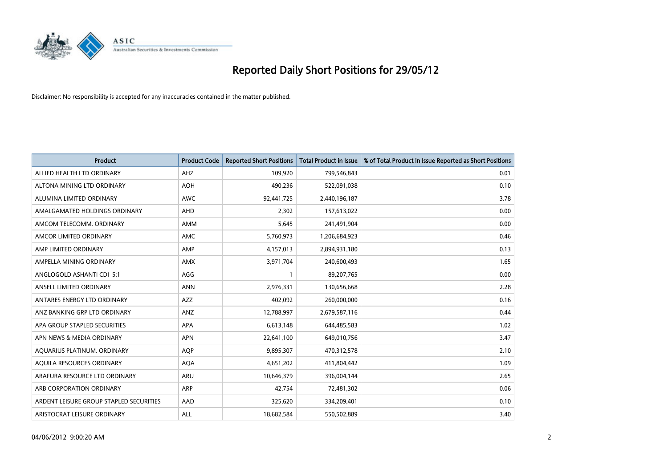

| <b>Product</b>                          | <b>Product Code</b> | <b>Reported Short Positions</b> | <b>Total Product in Issue</b> | % of Total Product in Issue Reported as Short Positions |
|-----------------------------------------|---------------------|---------------------------------|-------------------------------|---------------------------------------------------------|
| ALLIED HEALTH LTD ORDINARY              | AHZ                 | 109,920                         | 799,546,843                   | 0.01                                                    |
| ALTONA MINING LTD ORDINARY              | <b>AOH</b>          | 490,236                         | 522,091,038                   | 0.10                                                    |
| ALUMINA LIMITED ORDINARY                | <b>AWC</b>          | 92,441,725                      | 2,440,196,187                 | 3.78                                                    |
| AMALGAMATED HOLDINGS ORDINARY           | <b>AHD</b>          | 2,302                           | 157,613,022                   | 0.00                                                    |
| AMCOM TELECOMM, ORDINARY                | <b>AMM</b>          | 5,645                           | 241,491,904                   | 0.00                                                    |
| AMCOR LIMITED ORDINARY                  | <b>AMC</b>          | 5,760,973                       | 1,206,684,923                 | 0.46                                                    |
| AMP LIMITED ORDINARY                    | AMP                 | 4,157,013                       | 2,894,931,180                 | 0.13                                                    |
| AMPELLA MINING ORDINARY                 | AMX                 | 3,971,704                       | 240,600,493                   | 1.65                                                    |
| ANGLOGOLD ASHANTI CDI 5:1               | AGG                 | 1                               | 89,207,765                    | 0.00                                                    |
| ANSELL LIMITED ORDINARY                 | <b>ANN</b>          | 2,976,331                       | 130,656,668                   | 2.28                                                    |
| ANTARES ENERGY LTD ORDINARY             | AZZ                 | 402,092                         | 260,000,000                   | 0.16                                                    |
| ANZ BANKING GRP LTD ORDINARY            | ANZ                 | 12,788,997                      | 2,679,587,116                 | 0.44                                                    |
| APA GROUP STAPLED SECURITIES            | APA                 | 6,613,148                       | 644,485,583                   | 1.02                                                    |
| APN NEWS & MEDIA ORDINARY               | <b>APN</b>          | 22,641,100                      | 649,010,756                   | 3.47                                                    |
| AQUARIUS PLATINUM. ORDINARY             | AQP                 | 9,895,307                       | 470,312,578                   | 2.10                                                    |
| AQUILA RESOURCES ORDINARY               | <b>AQA</b>          | 4,651,202                       | 411,804,442                   | 1.09                                                    |
| ARAFURA RESOURCE LTD ORDINARY           | ARU                 | 10,646,379                      | 396,004,144                   | 2.65                                                    |
| ARB CORPORATION ORDINARY                | <b>ARP</b>          | 42,754                          | 72,481,302                    | 0.06                                                    |
| ARDENT LEISURE GROUP STAPLED SECURITIES | AAD                 | 325,620                         | 334,209,401                   | 0.10                                                    |
| ARISTOCRAT LEISURE ORDINARY             | ALL                 | 18,682,584                      | 550,502,889                   | 3.40                                                    |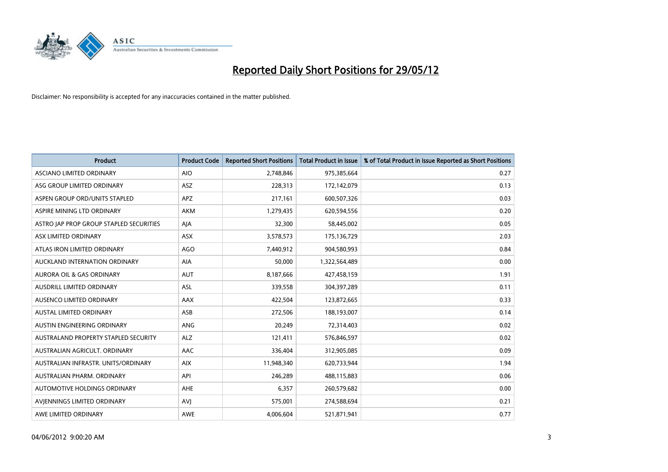

| <b>Product</b>                          | <b>Product Code</b> | <b>Reported Short Positions</b> | <b>Total Product in Issue</b> | % of Total Product in Issue Reported as Short Positions |
|-----------------------------------------|---------------------|---------------------------------|-------------------------------|---------------------------------------------------------|
| ASCIANO LIMITED ORDINARY                | <b>AIO</b>          | 2,748,846                       | 975,385,664                   | 0.27                                                    |
| ASG GROUP LIMITED ORDINARY              | ASZ                 | 228,313                         | 172,142,079                   | 0.13                                                    |
| ASPEN GROUP ORD/UNITS STAPLED           | <b>APZ</b>          | 217,161                         | 600,507,326                   | 0.03                                                    |
| ASPIRE MINING LTD ORDINARY              | <b>AKM</b>          | 1,279,435                       | 620,594,556                   | 0.20                                                    |
| ASTRO JAP PROP GROUP STAPLED SECURITIES | AJA                 | 32,300                          | 58,445,002                    | 0.05                                                    |
| ASX LIMITED ORDINARY                    | ASX                 | 3,578,573                       | 175,136,729                   | 2.03                                                    |
| ATLAS IRON LIMITED ORDINARY             | <b>AGO</b>          | 7,440,912                       | 904,580,993                   | 0.84                                                    |
| AUCKLAND INTERNATION ORDINARY           | <b>AIA</b>          | 50,000                          | 1,322,564,489                 | 0.00                                                    |
| <b>AURORA OIL &amp; GAS ORDINARY</b>    | <b>AUT</b>          | 8,187,666                       | 427,458,159                   | 1.91                                                    |
| AUSDRILL LIMITED ORDINARY               | ASL                 | 339,558                         | 304,397,289                   | 0.11                                                    |
| AUSENCO LIMITED ORDINARY                | AAX                 | 422,504                         | 123,872,665                   | 0.33                                                    |
| <b>AUSTAL LIMITED ORDINARY</b>          | ASB                 | 272,506                         | 188,193,007                   | 0.14                                                    |
| AUSTIN ENGINEERING ORDINARY             | ANG                 | 20,249                          | 72,314,403                    | 0.02                                                    |
| AUSTRALAND PROPERTY STAPLED SECURITY    | <b>ALZ</b>          | 121,411                         | 576,846,597                   | 0.02                                                    |
| AUSTRALIAN AGRICULT. ORDINARY           | AAC                 | 336,404                         | 312,905,085                   | 0.09                                                    |
| AUSTRALIAN INFRASTR. UNITS/ORDINARY     | <b>AIX</b>          | 11,948,340                      | 620,733,944                   | 1.94                                                    |
| AUSTRALIAN PHARM, ORDINARY              | API                 | 246,289                         | 488,115,883                   | 0.06                                                    |
| AUTOMOTIVE HOLDINGS ORDINARY            | <b>AHE</b>          | 6,357                           | 260,579,682                   | 0.00                                                    |
| AVIENNINGS LIMITED ORDINARY             | <b>AVI</b>          | 575,001                         | 274,588,694                   | 0.21                                                    |
| AWE LIMITED ORDINARY                    | <b>AWE</b>          | 4,006,604                       | 521,871,941                   | 0.77                                                    |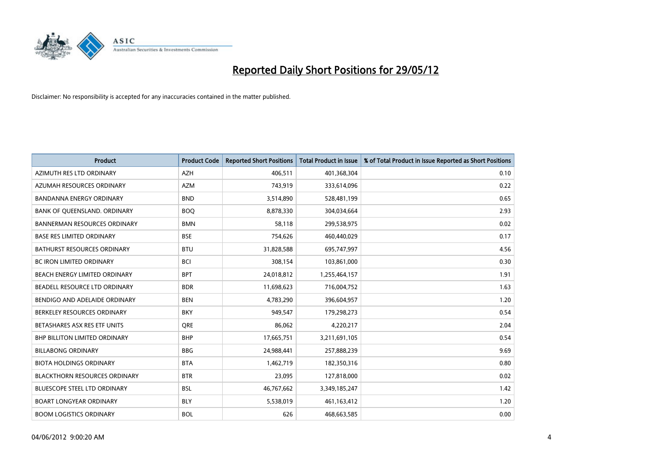

| <b>Product</b>                       | <b>Product Code</b> | <b>Reported Short Positions</b> | <b>Total Product in Issue</b> | % of Total Product in Issue Reported as Short Positions |
|--------------------------------------|---------------------|---------------------------------|-------------------------------|---------------------------------------------------------|
| AZIMUTH RES LTD ORDINARY             | <b>AZH</b>          | 406,511                         | 401,368,304                   | 0.10                                                    |
| AZUMAH RESOURCES ORDINARY            | <b>AZM</b>          | 743,919                         | 333,614,096                   | 0.22                                                    |
| <b>BANDANNA ENERGY ORDINARY</b>      | <b>BND</b>          | 3,514,890                       | 528,481,199                   | 0.65                                                    |
| BANK OF QUEENSLAND. ORDINARY         | <b>BOQ</b>          | 8,878,330                       | 304,034,664                   | 2.93                                                    |
| <b>BANNERMAN RESOURCES ORDINARY</b>  | <b>BMN</b>          | 58,118                          | 299,538,975                   | 0.02                                                    |
| <b>BASE RES LIMITED ORDINARY</b>     | <b>BSE</b>          | 754,626                         | 460,440,029                   | 0.17                                                    |
| <b>BATHURST RESOURCES ORDINARY</b>   | <b>BTU</b>          | 31,828,588                      | 695,747,997                   | 4.56                                                    |
| BC IRON LIMITED ORDINARY             | <b>BCI</b>          | 308,154                         | 103,861,000                   | 0.30                                                    |
| BEACH ENERGY LIMITED ORDINARY        | <b>BPT</b>          | 24,018,812                      | 1,255,464,157                 | 1.91                                                    |
| <b>BEADELL RESOURCE LTD ORDINARY</b> | <b>BDR</b>          | 11,698,623                      | 716,004,752                   | 1.63                                                    |
| BENDIGO AND ADELAIDE ORDINARY        | <b>BEN</b>          | 4,783,290                       | 396,604,957                   | 1.20                                                    |
| BERKELEY RESOURCES ORDINARY          | <b>BKY</b>          | 949,547                         | 179,298,273                   | 0.54                                                    |
| BETASHARES ASX RES ETF UNITS         | <b>ORE</b>          | 86,062                          | 4,220,217                     | 2.04                                                    |
| <b>BHP BILLITON LIMITED ORDINARY</b> | <b>BHP</b>          | 17,665,751                      | 3,211,691,105                 | 0.54                                                    |
| <b>BILLABONG ORDINARY</b>            | <b>BBG</b>          | 24,988,441                      | 257,888,239                   | 9.69                                                    |
| <b>BIOTA HOLDINGS ORDINARY</b>       | <b>BTA</b>          | 1,462,719                       | 182,350,316                   | 0.80                                                    |
| <b>BLACKTHORN RESOURCES ORDINARY</b> | <b>BTR</b>          | 23,095                          | 127,818,000                   | 0.02                                                    |
| BLUESCOPE STEEL LTD ORDINARY         | <b>BSL</b>          | 46,767,662                      | 3,349,185,247                 | 1.42                                                    |
| <b>BOART LONGYEAR ORDINARY</b>       | <b>BLY</b>          | 5,538,019                       | 461,163,412                   | 1.20                                                    |
| <b>BOOM LOGISTICS ORDINARY</b>       | <b>BOL</b>          | 626                             | 468,663,585                   | 0.00                                                    |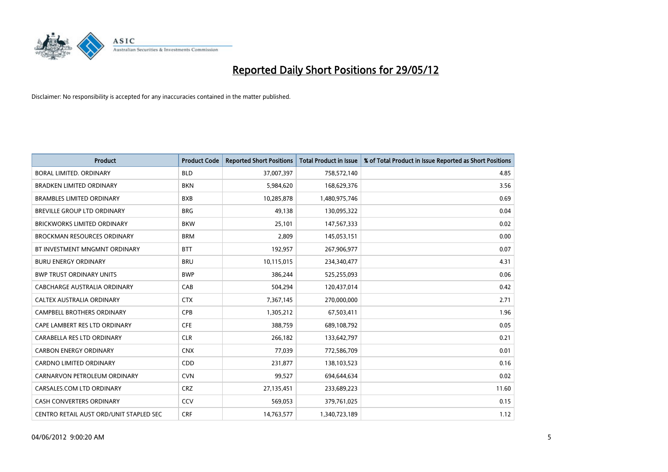

| <b>Product</b>                          | <b>Product Code</b> | <b>Reported Short Positions</b> | <b>Total Product in Issue</b> | % of Total Product in Issue Reported as Short Positions |
|-----------------------------------------|---------------------|---------------------------------|-------------------------------|---------------------------------------------------------|
| <b>BORAL LIMITED, ORDINARY</b>          | <b>BLD</b>          | 37,007,397                      | 758,572,140                   | 4.85                                                    |
| <b>BRADKEN LIMITED ORDINARY</b>         | <b>BKN</b>          | 5,984,620                       | 168,629,376                   | 3.56                                                    |
| <b>BRAMBLES LIMITED ORDINARY</b>        | <b>BXB</b>          | 10,285,878                      | 1,480,975,746                 | 0.69                                                    |
| BREVILLE GROUP LTD ORDINARY             | <b>BRG</b>          | 49,138                          | 130,095,322                   | 0.04                                                    |
| <b>BRICKWORKS LIMITED ORDINARY</b>      | <b>BKW</b>          | 25,101                          | 147,567,333                   | 0.02                                                    |
| <b>BROCKMAN RESOURCES ORDINARY</b>      | <b>BRM</b>          | 2,809                           | 145,053,151                   | 0.00                                                    |
| BT INVESTMENT MNGMNT ORDINARY           | <b>BTT</b>          | 192,957                         | 267,906,977                   | 0.07                                                    |
| <b>BURU ENERGY ORDINARY</b>             | <b>BRU</b>          | 10,115,015                      | 234,340,477                   | 4.31                                                    |
| <b>BWP TRUST ORDINARY UNITS</b>         | <b>BWP</b>          | 386,244                         | 525,255,093                   | 0.06                                                    |
| <b>CABCHARGE AUSTRALIA ORDINARY</b>     | CAB                 | 504,294                         | 120,437,014                   | 0.42                                                    |
| CALTEX AUSTRALIA ORDINARY               | <b>CTX</b>          | 7,367,145                       | 270,000,000                   | 2.71                                                    |
| <b>CAMPBELL BROTHERS ORDINARY</b>       | <b>CPB</b>          | 1,305,212                       | 67,503,411                    | 1.96                                                    |
| CAPE LAMBERT RES LTD ORDINARY           | <b>CFE</b>          | 388,759                         | 689,108,792                   | 0.05                                                    |
| CARABELLA RES LTD ORDINARY              | <b>CLR</b>          | 266,182                         | 133,642,797                   | 0.21                                                    |
| <b>CARBON ENERGY ORDINARY</b>           | <b>CNX</b>          | 77,039                          | 772,586,709                   | 0.01                                                    |
| CARDNO LIMITED ORDINARY                 | CDD                 | 231,877                         | 138,103,523                   | 0.16                                                    |
| CARNARVON PETROLEUM ORDINARY            | <b>CVN</b>          | 99,527                          | 694,644,634                   | 0.02                                                    |
| CARSALES.COM LTD ORDINARY               | <b>CRZ</b>          | 27,135,451                      | 233,689,223                   | 11.60                                                   |
| <b>CASH CONVERTERS ORDINARY</b>         | CCV                 | 569,053                         | 379,761,025                   | 0.15                                                    |
| CENTRO RETAIL AUST ORD/UNIT STAPLED SEC | <b>CRF</b>          | 14,763,577                      | 1,340,723,189                 | 1.12                                                    |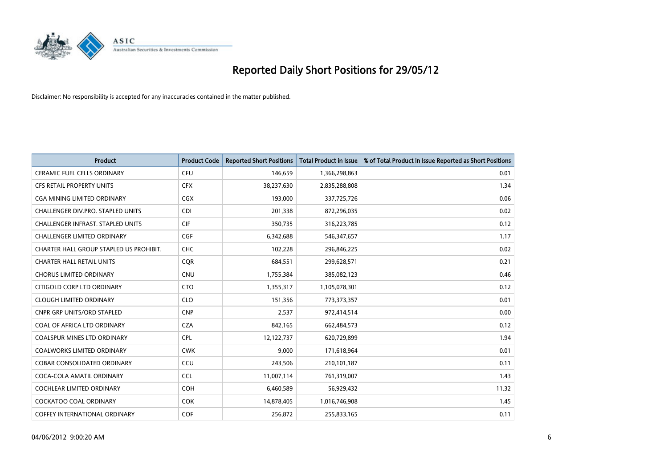

| <b>Product</b>                          | <b>Product Code</b> | <b>Reported Short Positions</b> | <b>Total Product in Issue</b> | % of Total Product in Issue Reported as Short Positions |
|-----------------------------------------|---------------------|---------------------------------|-------------------------------|---------------------------------------------------------|
| <b>CERAMIC FUEL CELLS ORDINARY</b>      | <b>CFU</b>          | 146,659                         | 1,366,298,863                 | 0.01                                                    |
| <b>CFS RETAIL PROPERTY UNITS</b>        | <b>CFX</b>          | 38,237,630                      | 2,835,288,808                 | 1.34                                                    |
| CGA MINING LIMITED ORDINARY             | CGX                 | 193,000                         | 337,725,726                   | 0.06                                                    |
| CHALLENGER DIV.PRO. STAPLED UNITS       | <b>CDI</b>          | 201,338                         | 872,296,035                   | 0.02                                                    |
| CHALLENGER INFRAST. STAPLED UNITS       | <b>CIF</b>          | 350,735                         | 316,223,785                   | 0.12                                                    |
| <b>CHALLENGER LIMITED ORDINARY</b>      | <b>CGF</b>          | 6,342,688                       | 546,347,657                   | 1.17                                                    |
| CHARTER HALL GROUP STAPLED US PROHIBIT. | <b>CHC</b>          | 102,228                         | 296,846,225                   | 0.02                                                    |
| <b>CHARTER HALL RETAIL UNITS</b>        | <b>CQR</b>          | 684,551                         | 299,628,571                   | 0.21                                                    |
| <b>CHORUS LIMITED ORDINARY</b>          | <b>CNU</b>          | 1,755,384                       | 385,082,123                   | 0.46                                                    |
| CITIGOLD CORP LTD ORDINARY              | <b>CTO</b>          | 1,355,317                       | 1,105,078,301                 | 0.12                                                    |
| <b>CLOUGH LIMITED ORDINARY</b>          | <b>CLO</b>          | 151,356                         | 773,373,357                   | 0.01                                                    |
| <b>CNPR GRP UNITS/ORD STAPLED</b>       | <b>CNP</b>          | 2,537                           | 972,414,514                   | 0.00                                                    |
| COAL OF AFRICA LTD ORDINARY             | <b>CZA</b>          | 842.165                         | 662,484,573                   | 0.12                                                    |
| <b>COALSPUR MINES LTD ORDINARY</b>      | <b>CPL</b>          | 12,122,737                      | 620,729,899                   | 1.94                                                    |
| <b>COALWORKS LIMITED ORDINARY</b>       | <b>CWK</b>          | 9,000                           | 171,618,964                   | 0.01                                                    |
| <b>COBAR CONSOLIDATED ORDINARY</b>      | CCU                 | 243,506                         | 210,101,187                   | 0.11                                                    |
| COCA-COLA AMATIL ORDINARY               | <b>CCL</b>          | 11,007,114                      | 761,319,007                   | 1.43                                                    |
| COCHLEAR LIMITED ORDINARY               | <b>COH</b>          | 6,460,589                       | 56,929,432                    | 11.32                                                   |
| <b>COCKATOO COAL ORDINARY</b>           | <b>COK</b>          | 14,878,405                      | 1,016,746,908                 | 1.45                                                    |
| COFFEY INTERNATIONAL ORDINARY           | <b>COF</b>          | 256,872                         | 255,833,165                   | 0.11                                                    |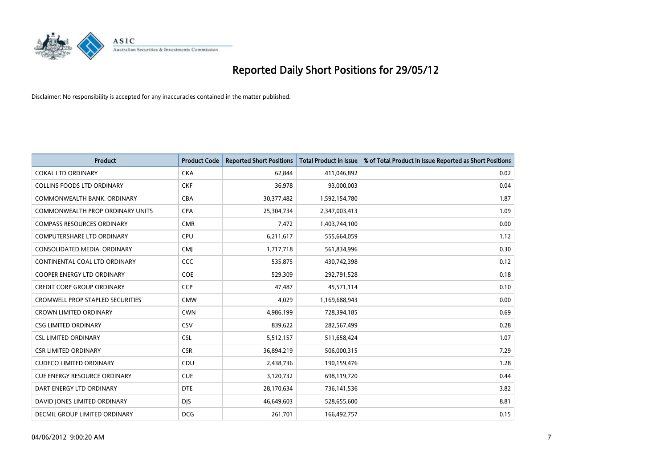

| <b>Product</b>                      | <b>Product Code</b> | <b>Reported Short Positions</b> | <b>Total Product in Issue</b> | % of Total Product in Issue Reported as Short Positions |
|-------------------------------------|---------------------|---------------------------------|-------------------------------|---------------------------------------------------------|
| <b>COKAL LTD ORDINARY</b>           | <b>CKA</b>          | 62,844                          | 411,046,892                   | 0.02                                                    |
| <b>COLLINS FOODS LTD ORDINARY</b>   | <b>CKF</b>          | 36,978                          | 93,000,003                    | 0.04                                                    |
| COMMONWEALTH BANK, ORDINARY         | <b>CBA</b>          | 30,377,482                      | 1,592,154,780                 | 1.87                                                    |
| COMMONWEALTH PROP ORDINARY UNITS    | <b>CPA</b>          | 25,304,734                      | 2,347,003,413                 | 1.09                                                    |
| <b>COMPASS RESOURCES ORDINARY</b>   | <b>CMR</b>          | 7,472                           | 1,403,744,100                 | 0.00                                                    |
| COMPUTERSHARE LTD ORDINARY          | <b>CPU</b>          | 6,211,617                       | 555,664,059                   | 1.12                                                    |
| CONSOLIDATED MEDIA. ORDINARY        | <b>CMI</b>          | 1,717,718                       | 561,834,996                   | 0.30                                                    |
| CONTINENTAL COAL LTD ORDINARY       | <b>CCC</b>          | 535,875                         | 430,742,398                   | 0.12                                                    |
| <b>COOPER ENERGY LTD ORDINARY</b>   | <b>COE</b>          | 529,309                         | 292,791,528                   | 0.18                                                    |
| <b>CREDIT CORP GROUP ORDINARY</b>   | CCP                 | 47,487                          | 45,571,114                    | 0.10                                                    |
| CROMWELL PROP STAPLED SECURITIES    | <b>CMW</b>          | 4,029                           | 1,169,688,943                 | 0.00                                                    |
| <b>CROWN LIMITED ORDINARY</b>       | <b>CWN</b>          | 4,986,199                       | 728,394,185                   | 0.69                                                    |
| <b>CSG LIMITED ORDINARY</b>         | <b>CSV</b>          | 839,622                         | 282,567,499                   | 0.28                                                    |
| <b>CSL LIMITED ORDINARY</b>         | <b>CSL</b>          | 5,512,157                       | 511,658,424                   | 1.07                                                    |
| <b>CSR LIMITED ORDINARY</b>         | <b>CSR</b>          | 36,894,219                      | 506,000,315                   | 7.29                                                    |
| <b>CUDECO LIMITED ORDINARY</b>      | CDU                 | 2,438,736                       | 190,159,476                   | 1.28                                                    |
| <b>CUE ENERGY RESOURCE ORDINARY</b> | <b>CUE</b>          | 3,120,732                       | 698,119,720                   | 0.44                                                    |
| DART ENERGY LTD ORDINARY            | <b>DTE</b>          | 28,170,634                      | 736,141,536                   | 3.82                                                    |
| DAVID JONES LIMITED ORDINARY        | <b>DIS</b>          | 46,649,603                      | 528,655,600                   | 8.81                                                    |
| DECMIL GROUP LIMITED ORDINARY       | <b>DCG</b>          | 261,701                         | 166,492,757                   | 0.15                                                    |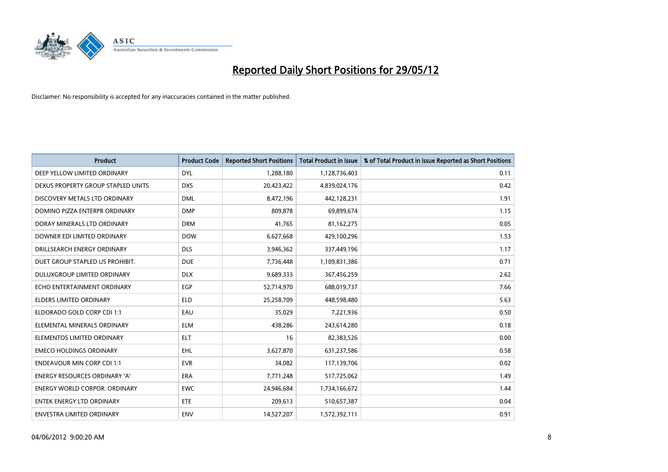

| <b>Product</b>                       | <b>Product Code</b> | <b>Reported Short Positions</b> | <b>Total Product in Issue</b> | % of Total Product in Issue Reported as Short Positions |
|--------------------------------------|---------------------|---------------------------------|-------------------------------|---------------------------------------------------------|
| DEEP YELLOW LIMITED ORDINARY         | <b>DYL</b>          | 1,288,180                       | 1,128,736,403                 | 0.11                                                    |
| DEXUS PROPERTY GROUP STAPLED UNITS   | <b>DXS</b>          | 20,423,422                      | 4,839,024,176                 | 0.42                                                    |
| DISCOVERY METALS LTD ORDINARY        | <b>DML</b>          | 8,472,196                       | 442,128,231                   | 1.91                                                    |
| DOMINO PIZZA ENTERPR ORDINARY        | <b>DMP</b>          | 809,878                         | 69,899,674                    | 1.15                                                    |
| DORAY MINERALS LTD ORDINARY          | <b>DRM</b>          | 41,765                          | 81,162,275                    | 0.05                                                    |
| DOWNER EDI LIMITED ORDINARY          | <b>DOW</b>          | 6,627,668                       | 429,100,296                   | 1.53                                                    |
| DRILLSEARCH ENERGY ORDINARY          | <b>DLS</b>          | 3,946,362                       | 337,449,196                   | 1.17                                                    |
| DUET GROUP STAPLED US PROHIBIT.      | <b>DUE</b>          | 7,736,448                       | 1,109,831,386                 | 0.71                                                    |
| DULUXGROUP LIMITED ORDINARY          | <b>DLX</b>          | 9,689,333                       | 367,456,259                   | 2.62                                                    |
| ECHO ENTERTAINMENT ORDINARY          | <b>EGP</b>          | 52,714,970                      | 688,019,737                   | 7.66                                                    |
| ELDERS LIMITED ORDINARY              | <b>ELD</b>          | 25,258,709                      | 448,598,480                   | 5.63                                                    |
| ELDORADO GOLD CORP CDI 1:1           | EAU                 | 35,029                          | 7,221,936                     | 0.50                                                    |
| ELEMENTAL MINERALS ORDINARY          | <b>ELM</b>          | 438,286                         | 243,614,280                   | 0.18                                                    |
| ELEMENTOS LIMITED ORDINARY           | <b>ELT</b>          | 16                              | 82,383,526                    | 0.00                                                    |
| <b>EMECO HOLDINGS ORDINARY</b>       | <b>EHL</b>          | 3,627,870                       | 631,237,586                   | 0.58                                                    |
| <b>ENDEAVOUR MIN CORP CDI 1:1</b>    | <b>EVR</b>          | 34,082                          | 117,139,706                   | 0.02                                                    |
| ENERGY RESOURCES ORDINARY 'A'        | ERA                 | 7,771,248                       | 517,725,062                   | 1.49                                                    |
| <b>ENERGY WORLD CORPOR. ORDINARY</b> | <b>EWC</b>          | 24,946,684                      | 1,734,166,672                 | 1.44                                                    |
| <b>ENTEK ENERGY LTD ORDINARY</b>     | ETE                 | 209,613                         | 510,657,387                   | 0.04                                                    |
| ENVESTRA LIMITED ORDINARY            | ENV                 | 14,527,207                      | 1,572,392,111                 | 0.91                                                    |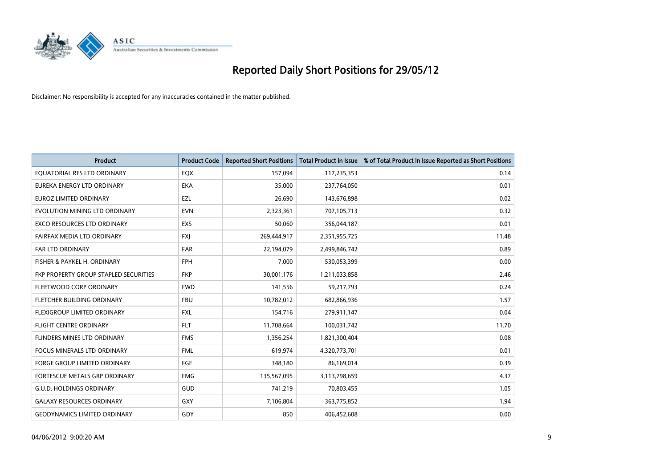

| <b>Product</b>                        | <b>Product Code</b> | <b>Reported Short Positions</b> | <b>Total Product in Issue</b> | % of Total Product in Issue Reported as Short Positions |
|---------------------------------------|---------------------|---------------------------------|-------------------------------|---------------------------------------------------------|
| EQUATORIAL RES LTD ORDINARY           | EQX                 | 157,094                         | 117,235,353                   | 0.14                                                    |
| EUREKA ENERGY LTD ORDINARY            | EKA                 | 35,000                          | 237,764,050                   | 0.01                                                    |
| EUROZ LIMITED ORDINARY                | ezl                 | 26,690                          | 143,676,898                   | 0.02                                                    |
| EVOLUTION MINING LTD ORDINARY         | <b>EVN</b>          | 2,323,361                       | 707,105,713                   | 0.32                                                    |
| <b>EXCO RESOURCES LTD ORDINARY</b>    | EXS                 | 50,060                          | 356,044,187                   | 0.01                                                    |
| FAIRFAX MEDIA LTD ORDINARY            | <b>FXI</b>          | 269,444,917                     | 2,351,955,725                 | 11.48                                                   |
| <b>FAR LTD ORDINARY</b>               | <b>FAR</b>          | 22,194,079                      | 2,499,846,742                 | 0.89                                                    |
| FISHER & PAYKEL H. ORDINARY           | <b>FPH</b>          | 7,000                           | 530,053,399                   | 0.00                                                    |
| FKP PROPERTY GROUP STAPLED SECURITIES | <b>FKP</b>          | 30,001,176                      | 1,211,033,858                 | 2.46                                                    |
| FLEETWOOD CORP ORDINARY               | <b>FWD</b>          | 141,556                         | 59,217,793                    | 0.24                                                    |
| FLETCHER BUILDING ORDINARY            | <b>FBU</b>          | 10,782,012                      | 682,866,936                   | 1.57                                                    |
| FLEXIGROUP LIMITED ORDINARY           | <b>FXL</b>          | 154,716                         | 279,911,147                   | 0.04                                                    |
| FLIGHT CENTRE ORDINARY                | <b>FLT</b>          | 11,708,664                      | 100,031,742                   | 11.70                                                   |
| FLINDERS MINES LTD ORDINARY           | <b>FMS</b>          | 1,356,254                       | 1,821,300,404                 | 0.08                                                    |
| <b>FOCUS MINERALS LTD ORDINARY</b>    | <b>FML</b>          | 619,974                         | 4,320,773,701                 | 0.01                                                    |
| <b>FORGE GROUP LIMITED ORDINARY</b>   | FGE                 | 348,180                         | 86,169,014                    | 0.39                                                    |
| FORTESCUE METALS GRP ORDINARY         | <b>FMG</b>          | 135,567,095                     | 3,113,798,659                 | 4.37                                                    |
| <b>G.U.D. HOLDINGS ORDINARY</b>       | GUD                 | 741,219                         | 70,803,455                    | 1.05                                                    |
| <b>GALAXY RESOURCES ORDINARY</b>      | <b>GXY</b>          | 7,106,804                       | 363,775,852                   | 1.94                                                    |
| <b>GEODYNAMICS LIMITED ORDINARY</b>   | GDY                 | 850                             | 406,452,608                   | 0.00                                                    |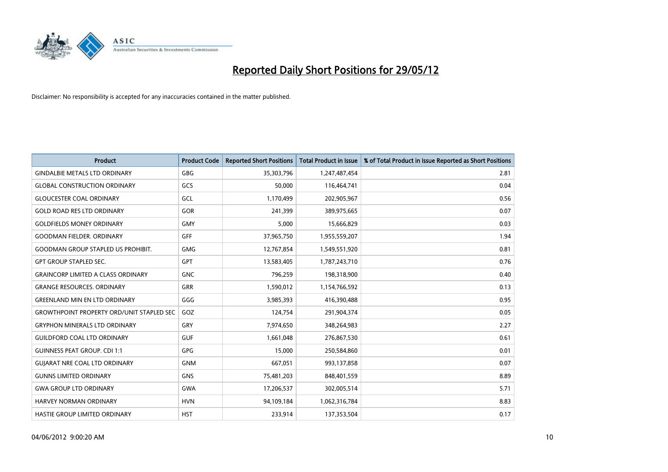

| <b>Product</b>                                   | <b>Product Code</b> | <b>Reported Short Positions</b> | <b>Total Product in Issue</b> | % of Total Product in Issue Reported as Short Positions |
|--------------------------------------------------|---------------------|---------------------------------|-------------------------------|---------------------------------------------------------|
| <b>GINDALBIE METALS LTD ORDINARY</b>             | GBG                 | 35,303,796                      | 1,247,487,454                 | 2.81                                                    |
| <b>GLOBAL CONSTRUCTION ORDINARY</b>              | GCS                 | 50,000                          | 116,464,741                   | 0.04                                                    |
| <b>GLOUCESTER COAL ORDINARY</b>                  | <b>GCL</b>          | 1,170,499                       | 202,905,967                   | 0.56                                                    |
| <b>GOLD ROAD RES LTD ORDINARY</b>                | GOR                 | 241,399                         | 389,975,665                   | 0.07                                                    |
| <b>GOLDFIELDS MONEY ORDINARY</b>                 | <b>GMY</b>          | 5,000                           | 15,666,829                    | 0.03                                                    |
| <b>GOODMAN FIELDER, ORDINARY</b>                 | GFF                 | 37,965,750                      | 1,955,559,207                 | 1.94                                                    |
| <b>GOODMAN GROUP STAPLED US PROHIBIT.</b>        | <b>GMG</b>          | 12,767,854                      | 1,549,551,920                 | 0.81                                                    |
| <b>GPT GROUP STAPLED SEC.</b>                    | GPT                 | 13,583,405                      | 1,787,243,710                 | 0.76                                                    |
| <b>GRAINCORP LIMITED A CLASS ORDINARY</b>        | <b>GNC</b>          | 796,259                         | 198,318,900                   | 0.40                                                    |
| <b>GRANGE RESOURCES, ORDINARY</b>                | <b>GRR</b>          | 1,590,012                       | 1,154,766,592                 | 0.13                                                    |
| <b>GREENLAND MIN EN LTD ORDINARY</b>             | GGG                 | 3,985,393                       | 416,390,488                   | 0.95                                                    |
| <b>GROWTHPOINT PROPERTY ORD/UNIT STAPLED SEC</b> | GOZ                 | 124,754                         | 291,904,374                   | 0.05                                                    |
| <b>GRYPHON MINERALS LTD ORDINARY</b>             | GRY                 | 7,974,650                       | 348,264,983                   | 2.27                                                    |
| <b>GUILDFORD COAL LTD ORDINARY</b>               | <b>GUF</b>          | 1,661,048                       | 276,867,530                   | 0.61                                                    |
| <b>GUINNESS PEAT GROUP. CDI 1:1</b>              | <b>GPG</b>          | 15,000                          | 250,584,860                   | 0.01                                                    |
| <b>GUIARAT NRE COAL LTD ORDINARY</b>             | <b>GNM</b>          | 667,051                         | 993,137,858                   | 0.07                                                    |
| <b>GUNNS LIMITED ORDINARY</b>                    | <b>GNS</b>          | 75,481,203                      | 848,401,559                   | 8.89                                                    |
| <b>GWA GROUP LTD ORDINARY</b>                    | <b>GWA</b>          | 17,206,537                      | 302,005,514                   | 5.71                                                    |
| <b>HARVEY NORMAN ORDINARY</b>                    | <b>HVN</b>          | 94,109,184                      | 1,062,316,784                 | 8.83                                                    |
| HASTIE GROUP LIMITED ORDINARY                    | <b>HST</b>          | 233,914                         | 137,353,504                   | 0.17                                                    |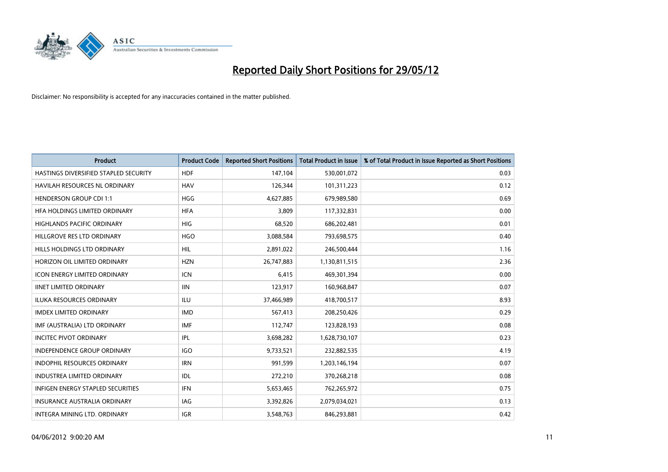

| <b>Product</b>                           | <b>Product Code</b> | <b>Reported Short Positions</b> | <b>Total Product in Issue</b> | % of Total Product in Issue Reported as Short Positions |
|------------------------------------------|---------------------|---------------------------------|-------------------------------|---------------------------------------------------------|
| HASTINGS DIVERSIFIED STAPLED SECURITY    | <b>HDF</b>          | 147,104                         | 530,001,072                   | 0.03                                                    |
| HAVILAH RESOURCES NL ORDINARY            | <b>HAV</b>          | 126,344                         | 101,311,223                   | 0.12                                                    |
| <b>HENDERSON GROUP CDI 1:1</b>           | HGG                 | 4,627,885                       | 679,989,580                   | 0.69                                                    |
| HFA HOLDINGS LIMITED ORDINARY            | <b>HFA</b>          | 3,809                           | 117,332,831                   | 0.00                                                    |
| <b>HIGHLANDS PACIFIC ORDINARY</b>        | <b>HIG</b>          | 68,520                          | 686,202,481                   | 0.01                                                    |
| HILLGROVE RES LTD ORDINARY               | <b>HGO</b>          | 3,088,584                       | 793,698,575                   | 0.40                                                    |
| HILLS HOLDINGS LTD ORDINARY              | <b>HIL</b>          | 2,891,022                       | 246,500,444                   | 1.16                                                    |
| HORIZON OIL LIMITED ORDINARY             | <b>HZN</b>          | 26,747,883                      | 1,130,811,515                 | 2.36                                                    |
| <b>ICON ENERGY LIMITED ORDINARY</b>      | <b>ICN</b>          | 6,415                           | 469,301,394                   | 0.00                                                    |
| <b>IINET LIMITED ORDINARY</b>            | <b>IIN</b>          | 123,917                         | 160,968,847                   | 0.07                                                    |
| ILUKA RESOURCES ORDINARY                 | ILU                 | 37,466,989                      | 418,700,517                   | 8.93                                                    |
| <b>IMDEX LIMITED ORDINARY</b>            | <b>IMD</b>          | 567,413                         | 208,250,426                   | 0.29                                                    |
| IMF (AUSTRALIA) LTD ORDINARY             | <b>IMF</b>          | 112,747                         | 123,828,193                   | 0.08                                                    |
| <b>INCITEC PIVOT ORDINARY</b>            | <b>IPL</b>          | 3,698,282                       | 1,628,730,107                 | 0.23                                                    |
| <b>INDEPENDENCE GROUP ORDINARY</b>       | <b>IGO</b>          | 9,733,521                       | 232,882,535                   | 4.19                                                    |
| INDOPHIL RESOURCES ORDINARY              | <b>IRN</b>          | 991,599                         | 1,203,146,194                 | 0.07                                                    |
| INDUSTREA LIMITED ORDINARY               | IDL                 | 272,210                         | 370,268,218                   | 0.08                                                    |
| <b>INFIGEN ENERGY STAPLED SECURITIES</b> | <b>IFN</b>          | 5,653,465                       | 762,265,972                   | 0.75                                                    |
| <b>INSURANCE AUSTRALIA ORDINARY</b>      | <b>IAG</b>          | 3,392,826                       | 2,079,034,021                 | 0.13                                                    |
| INTEGRA MINING LTD, ORDINARY             | <b>IGR</b>          | 3,548,763                       | 846,293,881                   | 0.42                                                    |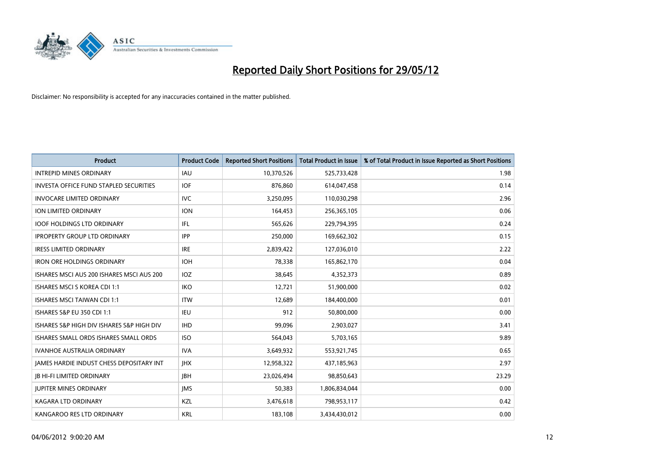

| <b>Product</b>                                | <b>Product Code</b> | <b>Reported Short Positions</b> | <b>Total Product in Issue</b> | % of Total Product in Issue Reported as Short Positions |
|-----------------------------------------------|---------------------|---------------------------------|-------------------------------|---------------------------------------------------------|
| <b>INTREPID MINES ORDINARY</b>                | IAU                 | 10,370,526                      | 525,733,428                   | 1.98                                                    |
| <b>INVESTA OFFICE FUND STAPLED SECURITIES</b> | <b>IOF</b>          | 876,860                         | 614,047,458                   | 0.14                                                    |
| <b>INVOCARE LIMITED ORDINARY</b>              | IVC                 | 3,250,095                       | 110,030,298                   | 2.96                                                    |
| ION LIMITED ORDINARY                          | <b>ION</b>          | 164,453                         | 256,365,105                   | 0.06                                                    |
| <b>IOOF HOLDINGS LTD ORDINARY</b>             | IFL                 | 565,626                         | 229,794,395                   | 0.24                                                    |
| <b>IPROPERTY GROUP LTD ORDINARY</b>           | <b>IPP</b>          | 250,000                         | 169,662,302                   | 0.15                                                    |
| <b>IRESS LIMITED ORDINARY</b>                 | <b>IRE</b>          | 2,839,422                       | 127,036,010                   | 2.22                                                    |
| <b>IRON ORE HOLDINGS ORDINARY</b>             | <b>IOH</b>          | 78,338                          | 165,862,170                   | 0.04                                                    |
| ISHARES MSCI AUS 200 ISHARES MSCI AUS 200     | <b>IOZ</b>          | 38,645                          | 4,352,373                     | 0.89                                                    |
| ISHARES MSCI S KOREA CDI 1:1                  | <b>IKO</b>          | 12,721                          | 51,900,000                    | 0.02                                                    |
| <b>ISHARES MSCI TAIWAN CDI 1:1</b>            | <b>ITW</b>          | 12,689                          | 184,400,000                   | 0.01                                                    |
| <b>ISHARES S&amp;P EU 350 CDI 1:1</b>         | IEU                 | 912                             | 50,800,000                    | 0.00                                                    |
| ISHARES S&P HIGH DIV ISHARES S&P HIGH DIV     | <b>IHD</b>          | 99.096                          | 2,903,027                     | 3.41                                                    |
| ISHARES SMALL ORDS ISHARES SMALL ORDS         | <b>ISO</b>          | 564,043                         | 5,703,165                     | 9.89                                                    |
| <b>IVANHOE AUSTRALIA ORDINARY</b>             | <b>IVA</b>          | 3,649,932                       | 553,921,745                   | 0.65                                                    |
| JAMES HARDIE INDUST CHESS DEPOSITARY INT      | <b>IHX</b>          | 12,958,322                      | 437,185,963                   | 2.97                                                    |
| <b>JB HI-FI LIMITED ORDINARY</b>              | <b>JBH</b>          | 23,026,494                      | 98,850,643                    | 23.29                                                   |
| <b>JUPITER MINES ORDINARY</b>                 | <b>IMS</b>          | 50,383                          | 1,806,834,044                 | 0.00                                                    |
| <b>KAGARA LTD ORDINARY</b>                    | KZL                 | 3,476,618                       | 798,953,117                   | 0.42                                                    |
| KANGAROO RES LTD ORDINARY                     | <b>KRL</b>          | 183,108                         | 3,434,430,012                 | 0.00                                                    |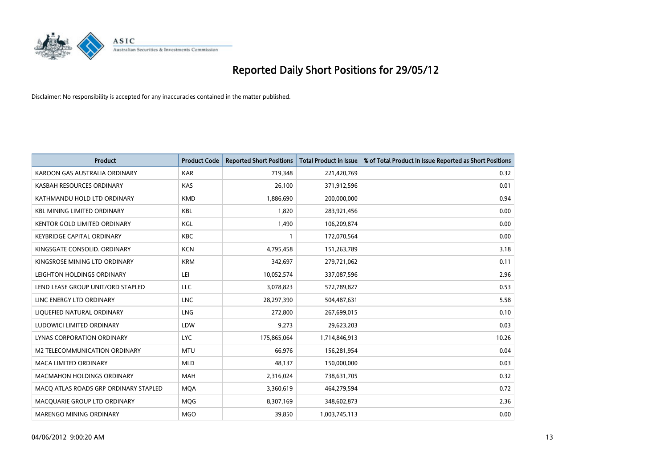

| <b>Product</b>                        | <b>Product Code</b> | <b>Reported Short Positions</b> | <b>Total Product in Issue</b> | % of Total Product in Issue Reported as Short Positions |
|---------------------------------------|---------------------|---------------------------------|-------------------------------|---------------------------------------------------------|
| KAROON GAS AUSTRALIA ORDINARY         | <b>KAR</b>          | 719,348                         | 221,420,769                   | 0.32                                                    |
| KASBAH RESOURCES ORDINARY             | <b>KAS</b>          | 26,100                          | 371,912,596                   | 0.01                                                    |
| KATHMANDU HOLD LTD ORDINARY           | <b>KMD</b>          | 1,886,690                       | 200,000,000                   | 0.94                                                    |
| <b>KBL MINING LIMITED ORDINARY</b>    | <b>KBL</b>          | 1,820                           | 283,921,456                   | 0.00                                                    |
| <b>KENTOR GOLD LIMITED ORDINARY</b>   | KGL                 | 1,490                           | 106,209,874                   | 0.00                                                    |
| <b>KEYBRIDGE CAPITAL ORDINARY</b>     | <b>KBC</b>          | 1                               | 172,070,564                   | 0.00                                                    |
| KINGSGATE CONSOLID. ORDINARY          | <b>KCN</b>          | 4,795,458                       | 151,263,789                   | 3.18                                                    |
| KINGSROSE MINING LTD ORDINARY         | <b>KRM</b>          | 342,697                         | 279,721,062                   | 0.11                                                    |
| LEIGHTON HOLDINGS ORDINARY            | LEI                 | 10,052,574                      | 337,087,596                   | 2.96                                                    |
| LEND LEASE GROUP UNIT/ORD STAPLED     | <b>LLC</b>          | 3,078,823                       | 572,789,827                   | 0.53                                                    |
| LINC ENERGY LTD ORDINARY              | <b>LNC</b>          | 28,297,390                      | 504,487,631                   | 5.58                                                    |
| LIQUEFIED NATURAL ORDINARY            | LNG                 | 272,800                         | 267,699,015                   | 0.10                                                    |
| LUDOWICI LIMITED ORDINARY             | LDW                 | 9,273                           | 29,623,203                    | 0.03                                                    |
| LYNAS CORPORATION ORDINARY            | <b>LYC</b>          | 175,865,064                     | 1,714,846,913                 | 10.26                                                   |
| M2 TELECOMMUNICATION ORDINARY         | <b>MTU</b>          | 66,976                          | 156,281,954                   | 0.04                                                    |
| MACA LIMITED ORDINARY                 | <b>MLD</b>          | 48,137                          | 150,000,000                   | 0.03                                                    |
| <b>MACMAHON HOLDINGS ORDINARY</b>     | <b>MAH</b>          | 2,316,024                       | 738,631,705                   | 0.32                                                    |
| MACQ ATLAS ROADS GRP ORDINARY STAPLED | <b>MQA</b>          | 3,360,619                       | 464,279,594                   | 0.72                                                    |
| MACOUARIE GROUP LTD ORDINARY          | <b>MOG</b>          | 8,307,169                       | 348,602,873                   | 2.36                                                    |
| MARENGO MINING ORDINARY               | <b>MGO</b>          | 39,850                          | 1,003,745,113                 | 0.00                                                    |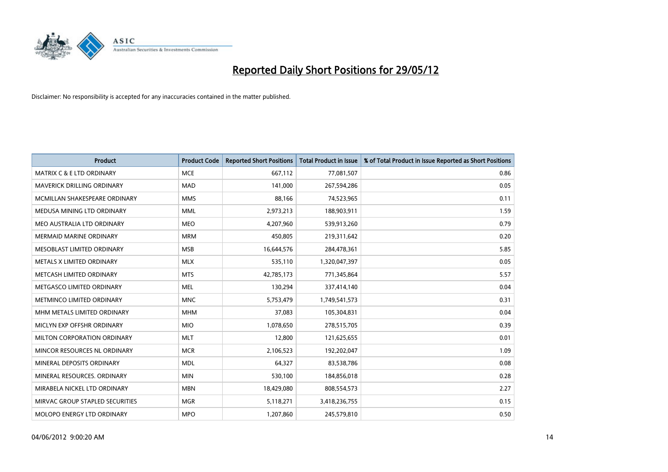

| <b>Product</b>                       | <b>Product Code</b> | <b>Reported Short Positions</b> | <b>Total Product in Issue</b> | % of Total Product in Issue Reported as Short Positions |
|--------------------------------------|---------------------|---------------------------------|-------------------------------|---------------------------------------------------------|
| <b>MATRIX C &amp; E LTD ORDINARY</b> | <b>MCE</b>          | 667,112                         | 77,081,507                    | 0.86                                                    |
| <b>MAVERICK DRILLING ORDINARY</b>    | <b>MAD</b>          | 141,000                         | 267,594,286                   | 0.05                                                    |
| MCMILLAN SHAKESPEARE ORDINARY        | <b>MMS</b>          | 88,166                          | 74,523,965                    | 0.11                                                    |
| MEDUSA MINING LTD ORDINARY           | <b>MML</b>          | 2,973,213                       | 188,903,911                   | 1.59                                                    |
| MEO AUSTRALIA LTD ORDINARY           | <b>MEO</b>          | 4,207,960                       | 539,913,260                   | 0.79                                                    |
| <b>MERMAID MARINE ORDINARY</b>       | <b>MRM</b>          | 450,805                         | 219,311,642                   | 0.20                                                    |
| MESOBLAST LIMITED ORDINARY           | <b>MSB</b>          | 16,644,576                      | 284,478,361                   | 5.85                                                    |
| METALS X LIMITED ORDINARY            | <b>MLX</b>          | 535,110                         | 1,320,047,397                 | 0.05                                                    |
| METCASH LIMITED ORDINARY             | <b>MTS</b>          | 42,785,173                      | 771,345,864                   | 5.57                                                    |
| METGASCO LIMITED ORDINARY            | <b>MEL</b>          | 130,294                         | 337,414,140                   | 0.04                                                    |
| METMINCO LIMITED ORDINARY            | <b>MNC</b>          | 5,753,479                       | 1,749,541,573                 | 0.31                                                    |
| MHM METALS LIMITED ORDINARY          | <b>MHM</b>          | 37,083                          | 105,304,831                   | 0.04                                                    |
| MICLYN EXP OFFSHR ORDINARY           | <b>MIO</b>          | 1,078,650                       | 278,515,705                   | 0.39                                                    |
| MILTON CORPORATION ORDINARY          | <b>MLT</b>          | 12,800                          | 121,625,655                   | 0.01                                                    |
| MINCOR RESOURCES NL ORDINARY         | <b>MCR</b>          | 2,106,523                       | 192,202,047                   | 1.09                                                    |
| MINERAL DEPOSITS ORDINARY            | <b>MDL</b>          | 64,327                          | 83,538,786                    | 0.08                                                    |
| MINERAL RESOURCES. ORDINARY          | <b>MIN</b>          | 530,100                         | 184,856,018                   | 0.28                                                    |
| MIRABELA NICKEL LTD ORDINARY         | <b>MBN</b>          | 18,429,080                      | 808,554,573                   | 2.27                                                    |
| MIRVAC GROUP STAPLED SECURITIES      | <b>MGR</b>          | 5,118,271                       | 3,418,236,755                 | 0.15                                                    |
| MOLOPO ENERGY LTD ORDINARY           | <b>MPO</b>          | 1,207,860                       | 245,579,810                   | 0.50                                                    |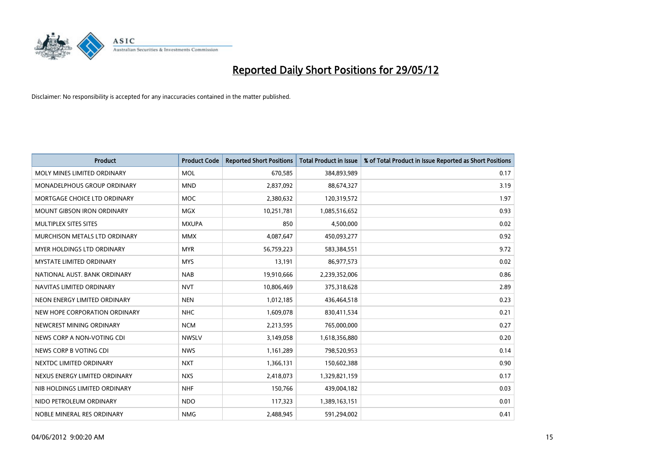

| <b>Product</b>                     | <b>Product Code</b> | <b>Reported Short Positions</b> | <b>Total Product in Issue</b> | % of Total Product in Issue Reported as Short Positions |
|------------------------------------|---------------------|---------------------------------|-------------------------------|---------------------------------------------------------|
| MOLY MINES LIMITED ORDINARY        | <b>MOL</b>          | 670,585                         | 384,893,989                   | 0.17                                                    |
| <b>MONADELPHOUS GROUP ORDINARY</b> | <b>MND</b>          | 2,837,092                       | 88,674,327                    | 3.19                                                    |
| MORTGAGE CHOICE LTD ORDINARY       | <b>MOC</b>          | 2,380,632                       | 120,319,572                   | 1.97                                                    |
| MOUNT GIBSON IRON ORDINARY         | <b>MGX</b>          | 10,251,781                      | 1,085,516,652                 | 0.93                                                    |
| MULTIPLEX SITES SITES              | <b>MXUPA</b>        | 850                             | 4,500,000                     | 0.02                                                    |
| MURCHISON METALS LTD ORDINARY      | <b>MMX</b>          | 4,087,647                       | 450,093,277                   | 0.92                                                    |
| MYER HOLDINGS LTD ORDINARY         | <b>MYR</b>          | 56,759,223                      | 583,384,551                   | 9.72                                                    |
| MYSTATE LIMITED ORDINARY           | <b>MYS</b>          | 13,191                          | 86,977,573                    | 0.02                                                    |
| NATIONAL AUST, BANK ORDINARY       | <b>NAB</b>          | 19,910,666                      | 2,239,352,006                 | 0.86                                                    |
| NAVITAS LIMITED ORDINARY           | <b>NVT</b>          | 10,806,469                      | 375,318,628                   | 2.89                                                    |
| NEON ENERGY LIMITED ORDINARY       | <b>NEN</b>          | 1,012,185                       | 436,464,518                   | 0.23                                                    |
| NEW HOPE CORPORATION ORDINARY      | <b>NHC</b>          | 1,609,078                       | 830,411,534                   | 0.21                                                    |
| NEWCREST MINING ORDINARY           | <b>NCM</b>          | 2,213,595                       | 765,000,000                   | 0.27                                                    |
| NEWS CORP A NON-VOTING CDI         | <b>NWSLV</b>        | 3,149,058                       | 1,618,356,880                 | 0.20                                                    |
| NEWS CORP B VOTING CDI             | <b>NWS</b>          | 1,161,289                       | 798,520,953                   | 0.14                                                    |
| NEXTDC LIMITED ORDINARY            | <b>NXT</b>          | 1,366,131                       | 150,602,388                   | 0.90                                                    |
| NEXUS ENERGY LIMITED ORDINARY      | <b>NXS</b>          | 2,418,073                       | 1,329,821,159                 | 0.17                                                    |
| NIB HOLDINGS LIMITED ORDINARY      | <b>NHF</b>          | 150,766                         | 439,004,182                   | 0.03                                                    |
| NIDO PETROLEUM ORDINARY            | <b>NDO</b>          | 117,323                         | 1,389,163,151                 | 0.01                                                    |
| NOBLE MINERAL RES ORDINARY         | <b>NMG</b>          | 2,488,945                       | 591,294,002                   | 0.41                                                    |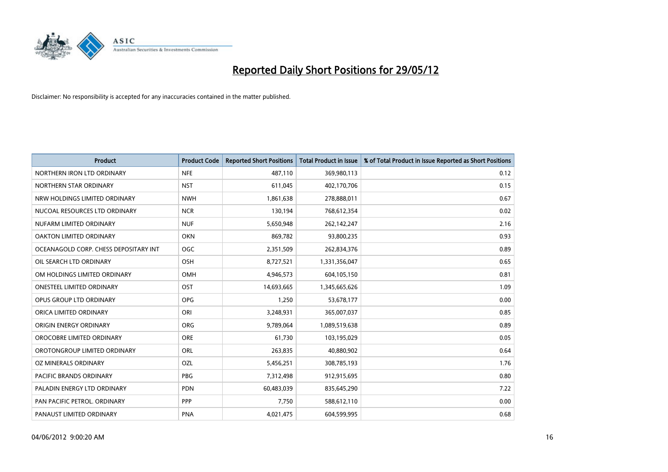

| <b>Product</b>                        | <b>Product Code</b> | <b>Reported Short Positions</b> | <b>Total Product in Issue</b> | % of Total Product in Issue Reported as Short Positions |
|---------------------------------------|---------------------|---------------------------------|-------------------------------|---------------------------------------------------------|
| NORTHERN IRON LTD ORDINARY            | <b>NFE</b>          | 487,110                         | 369,980,113                   | 0.12                                                    |
| NORTHERN STAR ORDINARY                | <b>NST</b>          | 611,045                         | 402,170,706                   | 0.15                                                    |
| NRW HOLDINGS LIMITED ORDINARY         | <b>NWH</b>          | 1,861,638                       | 278,888,011                   | 0.67                                                    |
| NUCOAL RESOURCES LTD ORDINARY         | <b>NCR</b>          | 130,194                         | 768,612,354                   | 0.02                                                    |
| NUFARM LIMITED ORDINARY               | <b>NUF</b>          | 5,650,948                       | 262,142,247                   | 2.16                                                    |
| <b>OAKTON LIMITED ORDINARY</b>        | <b>OKN</b>          | 869,782                         | 93,800,235                    | 0.93                                                    |
| OCEANAGOLD CORP. CHESS DEPOSITARY INT | <b>OGC</b>          | 2,351,509                       | 262,834,376                   | 0.89                                                    |
| OIL SEARCH LTD ORDINARY               | OSH                 | 8,727,521                       | 1,331,356,047                 | 0.65                                                    |
| OM HOLDINGS LIMITED ORDINARY          | OMH                 | 4,946,573                       | 604,105,150                   | 0.81                                                    |
| <b>ONESTEEL LIMITED ORDINARY</b>      | OST                 | 14,693,665                      | 1,345,665,626                 | 1.09                                                    |
| OPUS GROUP LTD ORDINARY               | <b>OPG</b>          | 1,250                           | 53,678,177                    | 0.00                                                    |
| ORICA LIMITED ORDINARY                | ORI                 | 3,248,931                       | 365,007,037                   | 0.85                                                    |
| ORIGIN ENERGY ORDINARY                | <b>ORG</b>          | 9,789,064                       | 1,089,519,638                 | 0.89                                                    |
| OROCOBRE LIMITED ORDINARY             | <b>ORE</b>          | 61,730                          | 103,195,029                   | 0.05                                                    |
| OROTONGROUP LIMITED ORDINARY          | ORL                 | 263,835                         | 40,880,902                    | 0.64                                                    |
| <b>OZ MINERALS ORDINARY</b>           | OZL                 | 5,456,251                       | 308,785,193                   | 1.76                                                    |
| PACIFIC BRANDS ORDINARY               | PBG                 | 7,312,498                       | 912,915,695                   | 0.80                                                    |
| PALADIN ENERGY LTD ORDINARY           | <b>PDN</b>          | 60,483,039                      | 835,645,290                   | 7.22                                                    |
| PAN PACIFIC PETROL. ORDINARY          | <b>PPP</b>          | 7,750                           | 588,612,110                   | 0.00                                                    |
| PANAUST LIMITED ORDINARY              | <b>PNA</b>          | 4,021,475                       | 604,599,995                   | 0.68                                                    |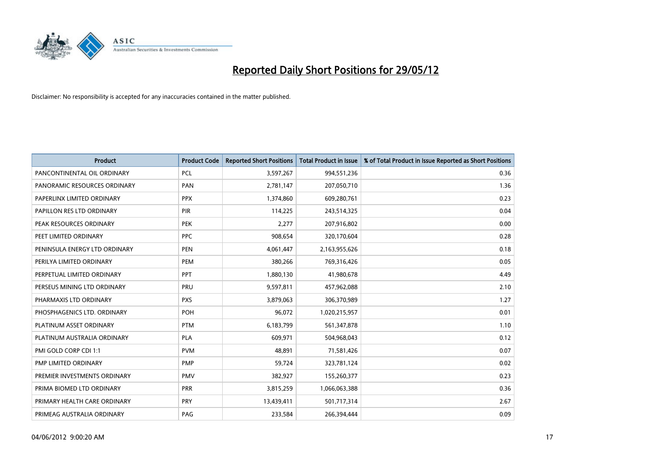

| <b>Product</b>                | <b>Product Code</b> | <b>Reported Short Positions</b> | <b>Total Product in Issue</b> | % of Total Product in Issue Reported as Short Positions |
|-------------------------------|---------------------|---------------------------------|-------------------------------|---------------------------------------------------------|
| PANCONTINENTAL OIL ORDINARY   | <b>PCL</b>          | 3,597,267                       | 994,551,236                   | 0.36                                                    |
| PANORAMIC RESOURCES ORDINARY  | PAN                 | 2,781,147                       | 207,050,710                   | 1.36                                                    |
| PAPERLINX LIMITED ORDINARY    | <b>PPX</b>          | 1,374,860                       | 609,280,761                   | 0.23                                                    |
| PAPILLON RES LTD ORDINARY     | <b>PIR</b>          | 114,225                         | 243,514,325                   | 0.04                                                    |
| PEAK RESOURCES ORDINARY       | <b>PEK</b>          | 2,277                           | 207,916,802                   | 0.00                                                    |
| PEET LIMITED ORDINARY         | <b>PPC</b>          | 908,654                         | 320,170,604                   | 0.28                                                    |
| PENINSULA ENERGY LTD ORDINARY | <b>PEN</b>          | 4,061,447                       | 2,163,955,626                 | 0.18                                                    |
| PERILYA LIMITED ORDINARY      | PEM                 | 380,266                         | 769,316,426                   | 0.05                                                    |
| PERPETUAL LIMITED ORDINARY    | PPT                 | 1,880,130                       | 41,980,678                    | 4.49                                                    |
| PERSEUS MINING LTD ORDINARY   | <b>PRU</b>          | 9,597,811                       | 457,962,088                   | 2.10                                                    |
| PHARMAXIS LTD ORDINARY        | <b>PXS</b>          | 3,879,063                       | 306,370,989                   | 1.27                                                    |
| PHOSPHAGENICS LTD. ORDINARY   | <b>POH</b>          | 96,072                          | 1,020,215,957                 | 0.01                                                    |
| PLATINUM ASSET ORDINARY       | <b>PTM</b>          | 6,183,799                       | 561,347,878                   | 1.10                                                    |
| PLATINUM AUSTRALIA ORDINARY   | <b>PLA</b>          | 609,971                         | 504,968,043                   | 0.12                                                    |
| PMI GOLD CORP CDI 1:1         | <b>PVM</b>          | 48,891                          | 71,581,426                    | 0.07                                                    |
| PMP LIMITED ORDINARY          | <b>PMP</b>          | 59,724                          | 323,781,124                   | 0.02                                                    |
| PREMIER INVESTMENTS ORDINARY  | PMV                 | 382,927                         | 155,260,377                   | 0.23                                                    |
| PRIMA BIOMED LTD ORDINARY     | <b>PRR</b>          | 3,815,259                       | 1,066,063,388                 | 0.36                                                    |
| PRIMARY HEALTH CARE ORDINARY  | <b>PRY</b>          | 13,439,411                      | 501,717,314                   | 2.67                                                    |
| PRIMEAG AUSTRALIA ORDINARY    | PAG                 | 233,584                         | 266,394,444                   | 0.09                                                    |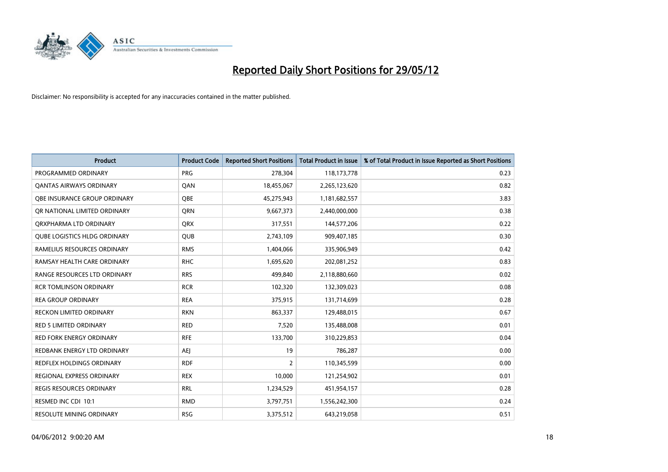

| <b>Product</b>                      | <b>Product Code</b> | <b>Reported Short Positions</b> | <b>Total Product in Issue</b> | % of Total Product in Issue Reported as Short Positions |
|-------------------------------------|---------------------|---------------------------------|-------------------------------|---------------------------------------------------------|
| PROGRAMMED ORDINARY                 | <b>PRG</b>          | 278,304                         | 118,173,778                   | 0.23                                                    |
| <b>QANTAS AIRWAYS ORDINARY</b>      | QAN                 | 18,455,067                      | 2,265,123,620                 | 0.82                                                    |
| <b>OBE INSURANCE GROUP ORDINARY</b> | <b>OBE</b>          | 45,275,943                      | 1,181,682,557                 | 3.83                                                    |
| OR NATIONAL LIMITED ORDINARY        | <b>ORN</b>          | 9,667,373                       | 2,440,000,000                 | 0.38                                                    |
| ORXPHARMA LTD ORDINARY              | <b>ORX</b>          | 317,551                         | 144,577,206                   | 0.22                                                    |
| QUBE LOGISTICS HLDG ORDINARY        | <b>QUB</b>          | 2,743,109                       | 909,407,185                   | 0.30                                                    |
| RAMELIUS RESOURCES ORDINARY         | <b>RMS</b>          | 1,404,066                       | 335,906,949                   | 0.42                                                    |
| RAMSAY HEALTH CARE ORDINARY         | <b>RHC</b>          | 1,695,620                       | 202,081,252                   | 0.83                                                    |
| RANGE RESOURCES LTD ORDINARY        | <b>RRS</b>          | 499,840                         | 2,118,880,660                 | 0.02                                                    |
| <b>RCR TOMLINSON ORDINARY</b>       | <b>RCR</b>          | 102,320                         | 132,309,023                   | 0.08                                                    |
| <b>REA GROUP ORDINARY</b>           | <b>REA</b>          | 375,915                         | 131,714,699                   | 0.28                                                    |
| <b>RECKON LIMITED ORDINARY</b>      | <b>RKN</b>          | 863,337                         | 129,488,015                   | 0.67                                                    |
| <b>RED 5 LIMITED ORDINARY</b>       | <b>RED</b>          | 7,520                           | 135,488,008                   | 0.01                                                    |
| <b>RED FORK ENERGY ORDINARY</b>     | <b>RFE</b>          | 133,700                         | 310,229,853                   | 0.04                                                    |
| REDBANK ENERGY LTD ORDINARY         | AEJ                 | 19                              | 786,287                       | 0.00                                                    |
| REDFLEX HOLDINGS ORDINARY           | <b>RDF</b>          | $\overline{2}$                  | 110,345,599                   | 0.00                                                    |
| REGIONAL EXPRESS ORDINARY           | <b>REX</b>          | 10,000                          | 121,254,902                   | 0.01                                                    |
| <b>REGIS RESOURCES ORDINARY</b>     | <b>RRL</b>          | 1,234,529                       | 451,954,157                   | 0.28                                                    |
| RESMED INC CDI 10:1                 | <b>RMD</b>          | 3,797,751                       | 1,556,242,300                 | 0.24                                                    |
| <b>RESOLUTE MINING ORDINARY</b>     | <b>RSG</b>          | 3,375,512                       | 643,219,058                   | 0.51                                                    |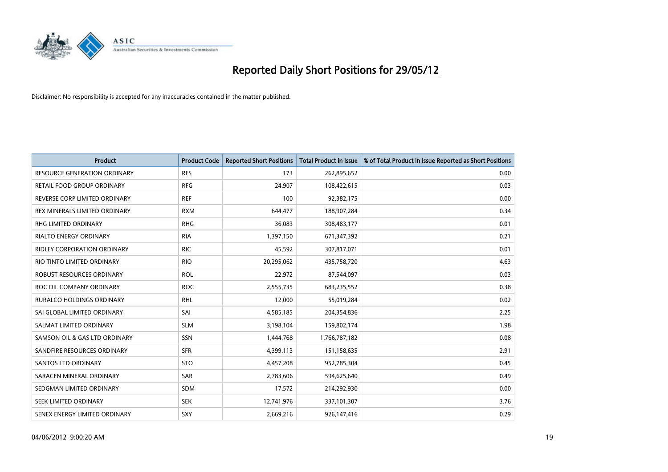

| <b>Product</b>                      | <b>Product Code</b> | <b>Reported Short Positions</b> | <b>Total Product in Issue</b> | % of Total Product in Issue Reported as Short Positions |
|-------------------------------------|---------------------|---------------------------------|-------------------------------|---------------------------------------------------------|
| <b>RESOURCE GENERATION ORDINARY</b> | <b>RES</b>          | 173                             | 262,895,652                   | 0.00                                                    |
| RETAIL FOOD GROUP ORDINARY          | <b>RFG</b>          | 24,907                          | 108,422,615                   | 0.03                                                    |
| REVERSE CORP LIMITED ORDINARY       | <b>REF</b>          | 100                             | 92,382,175                    | 0.00                                                    |
| REX MINERALS LIMITED ORDINARY       | <b>RXM</b>          | 644.477                         | 188,907,284                   | 0.34                                                    |
| <b>RHG LIMITED ORDINARY</b>         | <b>RHG</b>          | 36,083                          | 308,483,177                   | 0.01                                                    |
| RIALTO ENERGY ORDINARY              | <b>RIA</b>          | 1,397,150                       | 671,347,392                   | 0.21                                                    |
| <b>RIDLEY CORPORATION ORDINARY</b>  | <b>RIC</b>          | 45,592                          | 307,817,071                   | 0.01                                                    |
| RIO TINTO LIMITED ORDINARY          | <b>RIO</b>          | 20,295,062                      | 435,758,720                   | 4.63                                                    |
| ROBUST RESOURCES ORDINARY           | <b>ROL</b>          | 22,972                          | 87,544,097                    | 0.03                                                    |
| ROC OIL COMPANY ORDINARY            | <b>ROC</b>          | 2,555,735                       | 683,235,552                   | 0.38                                                    |
| <b>RURALCO HOLDINGS ORDINARY</b>    | <b>RHL</b>          | 12,000                          | 55,019,284                    | 0.02                                                    |
| SAI GLOBAL LIMITED ORDINARY         | SAI                 | 4,585,185                       | 204,354,836                   | 2.25                                                    |
| SALMAT LIMITED ORDINARY             | <b>SLM</b>          | 3,198,104                       | 159,802,174                   | 1.98                                                    |
| SAMSON OIL & GAS LTD ORDINARY       | SSN                 | 1,444,768                       | 1,766,787,182                 | 0.08                                                    |
| SANDFIRE RESOURCES ORDINARY         | <b>SFR</b>          | 4,399,113                       | 151,158,635                   | 2.91                                                    |
| <b>SANTOS LTD ORDINARY</b>          | <b>STO</b>          | 4,457,208                       | 952,785,304                   | 0.45                                                    |
| SARACEN MINERAL ORDINARY            | <b>SAR</b>          | 2,783,606                       | 594,625,640                   | 0.49                                                    |
| SEDGMAN LIMITED ORDINARY            | <b>SDM</b>          | 17,572                          | 214,292,930                   | 0.00                                                    |
| SEEK LIMITED ORDINARY               | <b>SEK</b>          | 12,741,976                      | 337,101,307                   | 3.76                                                    |
| SENEX ENERGY LIMITED ORDINARY       | <b>SXY</b>          | 2,669,216                       | 926,147,416                   | 0.29                                                    |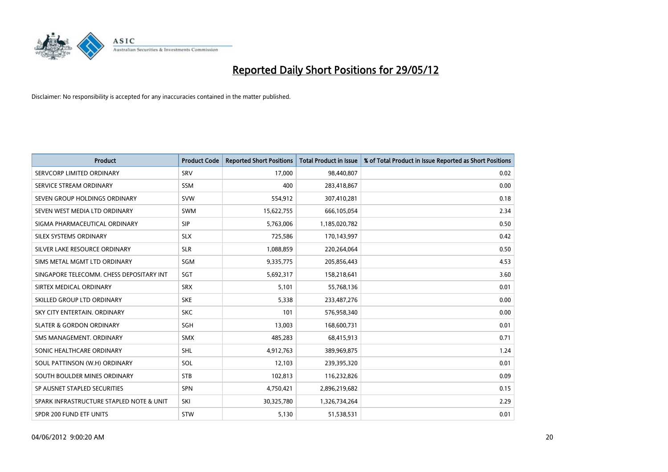

| <b>Product</b>                           | <b>Product Code</b> | <b>Reported Short Positions</b> | <b>Total Product in Issue</b> | % of Total Product in Issue Reported as Short Positions |
|------------------------------------------|---------------------|---------------------------------|-------------------------------|---------------------------------------------------------|
| SERVCORP LIMITED ORDINARY                | SRV                 | 17,000                          | 98,440,807                    | 0.02                                                    |
| SERVICE STREAM ORDINARY                  | <b>SSM</b>          | 400                             | 283,418,867                   | 0.00                                                    |
| SEVEN GROUP HOLDINGS ORDINARY            | <b>SVW</b>          | 554,912                         | 307,410,281                   | 0.18                                                    |
| SEVEN WEST MEDIA LTD ORDINARY            | <b>SWM</b>          | 15,622,755                      | 666,105,054                   | 2.34                                                    |
| SIGMA PHARMACEUTICAL ORDINARY            | <b>SIP</b>          | 5,763,006                       | 1,185,020,782                 | 0.50                                                    |
| SILEX SYSTEMS ORDINARY                   | <b>SLX</b>          | 725,586                         | 170,143,997                   | 0.42                                                    |
| SILVER LAKE RESOURCE ORDINARY            | <b>SLR</b>          | 1,088,859                       | 220,264,064                   | 0.50                                                    |
| SIMS METAL MGMT LTD ORDINARY             | SGM                 | 9,335,775                       | 205,856,443                   | 4.53                                                    |
| SINGAPORE TELECOMM. CHESS DEPOSITARY INT | SGT                 | 5,692,317                       | 158,218,641                   | 3.60                                                    |
| SIRTEX MEDICAL ORDINARY                  | <b>SRX</b>          | 5,101                           | 55,768,136                    | 0.01                                                    |
| SKILLED GROUP LTD ORDINARY               | <b>SKE</b>          | 5,338                           | 233,487,276                   | 0.00                                                    |
| SKY CITY ENTERTAIN, ORDINARY             | <b>SKC</b>          | 101                             | 576,958,340                   | 0.00                                                    |
| <b>SLATER &amp; GORDON ORDINARY</b>      | SGH                 | 13,003                          | 168,600,731                   | 0.01                                                    |
| SMS MANAGEMENT, ORDINARY                 | SMX                 | 485,283                         | 68,415,913                    | 0.71                                                    |
| SONIC HEALTHCARE ORDINARY                | <b>SHL</b>          | 4,912,763                       | 389,969,875                   | 1.24                                                    |
| SOUL PATTINSON (W.H) ORDINARY            | SOL                 | 12,103                          | 239,395,320                   | 0.01                                                    |
| SOUTH BOULDER MINES ORDINARY             | <b>STB</b>          | 102,813                         | 116,232,826                   | 0.09                                                    |
| SP AUSNET STAPLED SECURITIES             | <b>SPN</b>          | 4,750,421                       | 2,896,219,682                 | 0.15                                                    |
| SPARK INFRASTRUCTURE STAPLED NOTE & UNIT | SKI                 | 30,325,780                      | 1,326,734,264                 | 2.29                                                    |
| SPDR 200 FUND ETF UNITS                  | <b>STW</b>          | 5,130                           | 51,538,531                    | 0.01                                                    |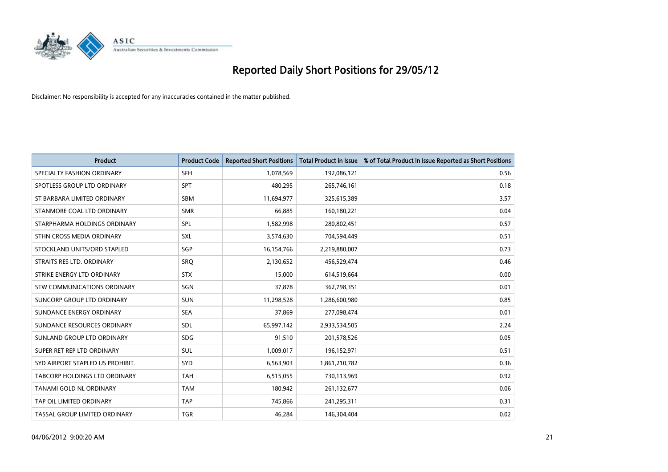

| <b>Product</b>                     | <b>Product Code</b> | <b>Reported Short Positions</b> | <b>Total Product in Issue</b> | % of Total Product in Issue Reported as Short Positions |
|------------------------------------|---------------------|---------------------------------|-------------------------------|---------------------------------------------------------|
| SPECIALTY FASHION ORDINARY         | <b>SFH</b>          | 1,078,569                       | 192,086,121                   | 0.56                                                    |
| SPOTLESS GROUP LTD ORDINARY        | <b>SPT</b>          | 480,295                         | 265,746,161                   | 0.18                                                    |
| ST BARBARA LIMITED ORDINARY        | <b>SBM</b>          | 11,694,977                      | 325,615,389                   | 3.57                                                    |
| STANMORE COAL LTD ORDINARY         | <b>SMR</b>          | 66,885                          | 160,180,221                   | 0.04                                                    |
| STARPHARMA HOLDINGS ORDINARY       | SPL                 | 1,582,998                       | 280,802,451                   | 0.57                                                    |
| STHN CROSS MEDIA ORDINARY          | <b>SXL</b>          | 3,574,630                       | 704,594,449                   | 0.51                                                    |
| STOCKLAND UNITS/ORD STAPLED        | SGP                 | 16,154,766                      | 2,219,880,007                 | 0.73                                                    |
| STRAITS RES LTD. ORDINARY          | SRQ                 | 2,130,652                       | 456,529,474                   | 0.46                                                    |
| STRIKE ENERGY LTD ORDINARY         | <b>STX</b>          | 15,000                          | 614,519,664                   | 0.00                                                    |
| <b>STW COMMUNICATIONS ORDINARY</b> | SGN                 | 37,878                          | 362,798,351                   | 0.01                                                    |
| SUNCORP GROUP LTD ORDINARY         | <b>SUN</b>          | 11,298,528                      | 1,286,600,980                 | 0.85                                                    |
| SUNDANCE ENERGY ORDINARY           | <b>SEA</b>          | 37,869                          | 277,098,474                   | 0.01                                                    |
| SUNDANCE RESOURCES ORDINARY        | <b>SDL</b>          | 65,997,142                      | 2,933,534,505                 | 2.24                                                    |
| SUNLAND GROUP LTD ORDINARY         | <b>SDG</b>          | 91,510                          | 201,578,526                   | 0.05                                                    |
| SUPER RET REP LTD ORDINARY         | <b>SUL</b>          | 1,009,017                       | 196,152,971                   | 0.51                                                    |
| SYD AIRPORT STAPLED US PROHIBIT.   | SYD                 | 6,563,903                       | 1,861,210,782                 | 0.36                                                    |
| TABCORP HOLDINGS LTD ORDINARY      | <b>TAH</b>          | 6,515,055                       | 730,113,969                   | 0.92                                                    |
| TANAMI GOLD NL ORDINARY            | <b>TAM</b>          | 180,942                         | 261,132,677                   | 0.06                                                    |
| TAP OIL LIMITED ORDINARY           | <b>TAP</b>          | 745,866                         | 241,295,311                   | 0.31                                                    |
| TASSAL GROUP LIMITED ORDINARY      | <b>TGR</b>          | 46.284                          | 146.304.404                   | 0.02                                                    |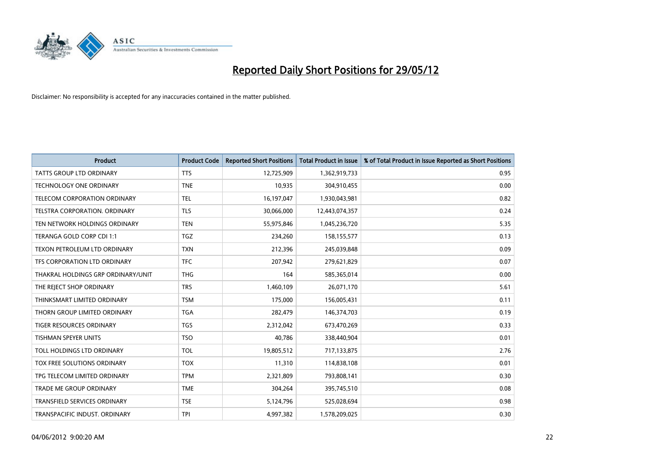

| <b>Product</b>                      | <b>Product Code</b> | <b>Reported Short Positions</b> | <b>Total Product in Issue</b> | % of Total Product in Issue Reported as Short Positions |
|-------------------------------------|---------------------|---------------------------------|-------------------------------|---------------------------------------------------------|
| <b>TATTS GROUP LTD ORDINARY</b>     | <b>TTS</b>          | 12,725,909                      | 1,362,919,733                 | 0.95                                                    |
| TECHNOLOGY ONE ORDINARY             | <b>TNE</b>          | 10,935                          | 304,910,455                   | 0.00                                                    |
| <b>TELECOM CORPORATION ORDINARY</b> | <b>TEL</b>          | 16,197,047                      | 1,930,043,981                 | 0.82                                                    |
| TELSTRA CORPORATION. ORDINARY       | <b>TLS</b>          | 30,066,000                      | 12,443,074,357                | 0.24                                                    |
| TEN NETWORK HOLDINGS ORDINARY       | <b>TEN</b>          | 55,975,846                      | 1,045,236,720                 | 5.35                                                    |
| TERANGA GOLD CORP CDI 1:1           | <b>TGZ</b>          | 234,260                         | 158,155,577                   | 0.13                                                    |
| TEXON PETROLEUM LTD ORDINARY        | <b>TXN</b>          | 212,396                         | 245,039,848                   | 0.09                                                    |
| TFS CORPORATION LTD ORDINARY        | <b>TFC</b>          | 207,942                         | 279,621,829                   | 0.07                                                    |
| THAKRAL HOLDINGS GRP ORDINARY/UNIT  | <b>THG</b>          | 164                             | 585,365,014                   | 0.00                                                    |
| THE REJECT SHOP ORDINARY            | <b>TRS</b>          | 1,460,109                       | 26,071,170                    | 5.61                                                    |
| THINKSMART LIMITED ORDINARY         | <b>TSM</b>          | 175,000                         | 156,005,431                   | 0.11                                                    |
| THORN GROUP LIMITED ORDINARY        | <b>TGA</b>          | 282,479                         | 146,374,703                   | 0.19                                                    |
| TIGER RESOURCES ORDINARY            | <b>TGS</b>          | 2,312,042                       | 673,470,269                   | 0.33                                                    |
| <b>TISHMAN SPEYER UNITS</b>         | <b>TSO</b>          | 40,786                          | 338,440,904                   | 0.01                                                    |
| TOLL HOLDINGS LTD ORDINARY          | <b>TOL</b>          | 19,805,512                      | 717,133,875                   | 2.76                                                    |
| TOX FREE SOLUTIONS ORDINARY         | <b>TOX</b>          | 11,310                          | 114,838,108                   | 0.01                                                    |
| TPG TELECOM LIMITED ORDINARY        | <b>TPM</b>          | 2,321,809                       | 793,808,141                   | 0.30                                                    |
| TRADE ME GROUP ORDINARY             | <b>TME</b>          | 304,264                         | 395,745,510                   | 0.08                                                    |
| <b>TRANSFIELD SERVICES ORDINARY</b> | <b>TSE</b>          | 5,124,796                       | 525,028,694                   | 0.98                                                    |
| TRANSPACIFIC INDUST. ORDINARY       | <b>TPI</b>          | 4,997,382                       | 1,578,209,025                 | 0.30                                                    |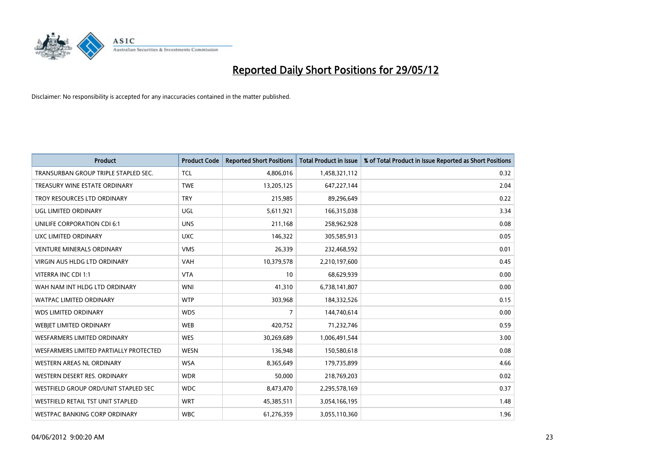

| <b>Product</b>                         | <b>Product Code</b> | <b>Reported Short Positions</b> | <b>Total Product in Issue</b> | % of Total Product in Issue Reported as Short Positions |
|----------------------------------------|---------------------|---------------------------------|-------------------------------|---------------------------------------------------------|
| TRANSURBAN GROUP TRIPLE STAPLED SEC.   | <b>TCL</b>          | 4,806,016                       | 1,458,321,112                 | 0.32                                                    |
| TREASURY WINE ESTATE ORDINARY          | <b>TWE</b>          | 13,205,125                      | 647,227,144                   | 2.04                                                    |
| TROY RESOURCES LTD ORDINARY            | <b>TRY</b>          | 215,985                         | 89,296,649                    | 0.22                                                    |
| <b>UGL LIMITED ORDINARY</b>            | UGL                 | 5,611,921                       | 166,315,038                   | 3.34                                                    |
| UNILIFE CORPORATION CDI 6:1            | <b>UNS</b>          | 211,168                         | 258,962,928                   | 0.08                                                    |
| UXC LIMITED ORDINARY                   | <b>UXC</b>          | 146,322                         | 305,585,913                   | 0.05                                                    |
| <b>VENTURE MINERALS ORDINARY</b>       | <b>VMS</b>          | 26,339                          | 232,468,592                   | 0.01                                                    |
| VIRGIN AUS HLDG LTD ORDINARY           | <b>VAH</b>          | 10,379,578                      | 2,210,197,600                 | 0.45                                                    |
| VITERRA INC CDI 1:1                    | <b>VTA</b>          | 10                              | 68,629,939                    | 0.00                                                    |
| WAH NAM INT HLDG LTD ORDINARY          | <b>WNI</b>          | 41,310                          | 6,738,141,807                 | 0.00                                                    |
| WATPAC LIMITED ORDINARY                | <b>WTP</b>          | 303,968                         | 184,332,526                   | 0.15                                                    |
| <b>WDS LIMITED ORDINARY</b>            | <b>WDS</b>          | $\overline{7}$                  | 144,740,614                   | 0.00                                                    |
| WEBJET LIMITED ORDINARY                | <b>WEB</b>          | 420,752                         | 71,232,746                    | 0.59                                                    |
| <b>WESFARMERS LIMITED ORDINARY</b>     | <b>WES</b>          | 30,269,689                      | 1,006,491,544                 | 3.00                                                    |
| WESFARMERS LIMITED PARTIALLY PROTECTED | <b>WESN</b>         | 136,948                         | 150,580,618                   | 0.08                                                    |
| <b>WESTERN AREAS NL ORDINARY</b>       | <b>WSA</b>          | 8,365,649                       | 179,735,899                   | 4.66                                                    |
| WESTERN DESERT RES. ORDINARY           | <b>WDR</b>          | 50,000                          | 218,769,203                   | 0.02                                                    |
| WESTFIELD GROUP ORD/UNIT STAPLED SEC   | <b>WDC</b>          | 8,473,470                       | 2,295,578,169                 | 0.37                                                    |
| WESTFIELD RETAIL TST UNIT STAPLED      | <b>WRT</b>          | 45,385,511                      | 3,054,166,195                 | 1.48                                                    |
| WESTPAC BANKING CORP ORDINARY          | <b>WBC</b>          | 61,276,359                      | 3,055,110,360                 | 1.96                                                    |